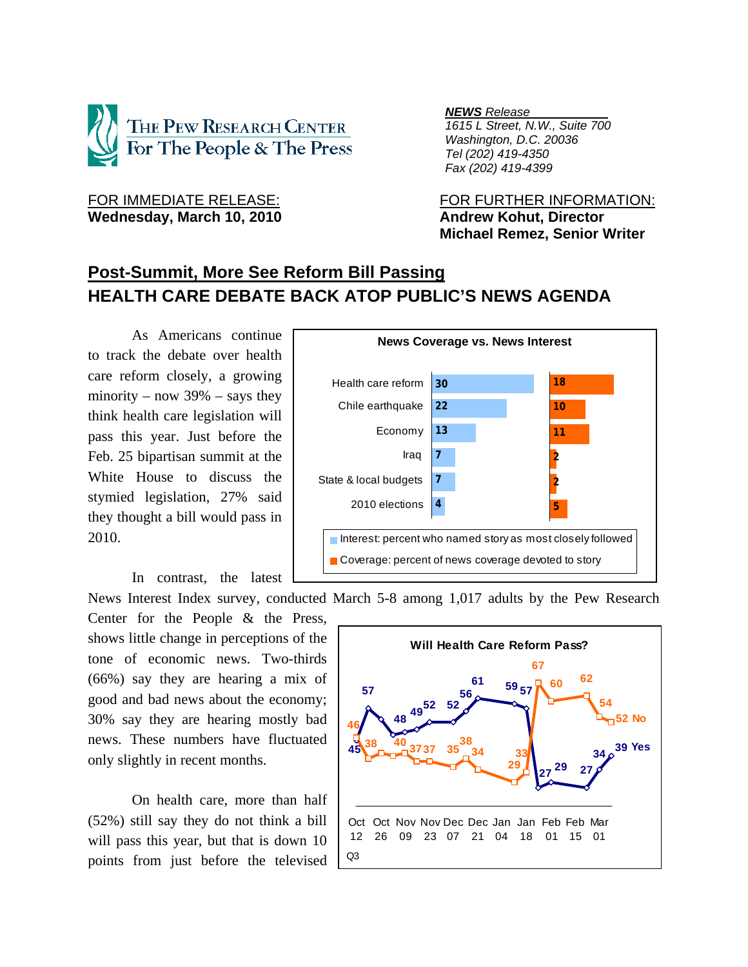

Wednesday, March 10, 2010 **Andrew Kohut, Director** 

*NEWS Release .*

 *1615 L Street, N.W., Suite 700 Washington, D.C. 20036 Tel (202) 419-4350 Fax (202) 419-4399*

FOR IMMEDIATE RELEASE: FOR FURTHER INFORMATION:  **Michael Remez, Senior Writer** 

# **Post-Summit, More See Reform Bill Passing HEALTH CARE DEBATE BACK ATOP PUBLIC'S NEWS AGENDA**

 As Americans continue to track the debate over health care reform closely, a growing minority – now  $39\%$  – says they think health care legislation will pass this year. Just before the Feb. 25 bipartisan summit at the White House to discuss the stymied legislation, 27% said they thought a bill would pass in 2010.

In contrast, the latest

Center for the People & the Press, shows little change in perceptions of the tone of economic news. Two-thirds (66%) say they are hearing a mix of good and bad news about the economy; 30% say they are hearing mostly bad news. These numbers have fluctuated only slightly in recent months.

On health care, more than half (52%) still say they do not think a bill will pass this year, but that is down 10 points from just before the televised



News Interest Index survey, conducted March 5-8 among 1,017 adults by the Pew Research

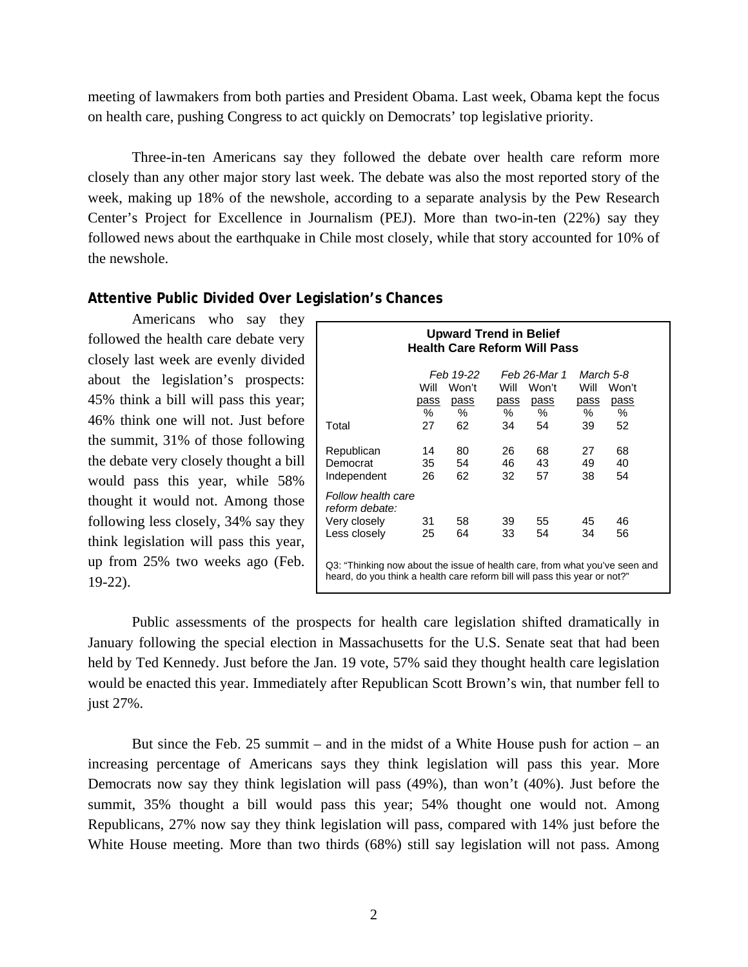meeting of lawmakers from both parties and President Obama. Last week, Obama kept the focus on health care, pushing Congress to act quickly on Democrats' top legislative priority.

Three-in-ten Americans say they followed the debate over health care reform more closely than any other major story last week. The debate was also the most reported story of the week, making up 18% of the newshole, according to a separate analysis by the Pew Research Center's Project for Excellence in Journalism (PEJ). More than two-in-ten (22%) say they followed news about the earthquake in Chile most closely, while that story accounted for 10% of the newshole.

#### **Attentive Public Divided Over Legislation's Chances**

 Americans who say they followed the health care debate very closely last week are evenly divided about the legislation's prospects: 45% think a bill will pass this year; 46% think one will not. Just before the summit, 31% of those following the debate very closely thought a bill would pass this year, while 58% thought it would not. Among those following less closely, 34% say they think legislation will pass this year, up from 25% two weeks ago (Feb. 19-22).

| <b>Upward Trend in Belief</b><br><b>Health Care Reform Will Pass</b>                                                                                      |             |       |             |       |      |       |  |  |  |
|-----------------------------------------------------------------------------------------------------------------------------------------------------------|-------------|-------|-------------|-------|------|-------|--|--|--|
| Feb 19-22<br>Feb 26-Mar 1<br>March 5-8                                                                                                                    |             |       |             |       |      |       |  |  |  |
|                                                                                                                                                           | Will        | Won't | Will        | Won't | Will | Won't |  |  |  |
|                                                                                                                                                           | <u>pass</u> | pass  | <u>pass</u> | pass  | pass | pass  |  |  |  |
|                                                                                                                                                           | %           | %     | %           | %     | %    | %     |  |  |  |
| Total                                                                                                                                                     | 27          | 62    | 34          | 54    | 39   | 52    |  |  |  |
| Republican                                                                                                                                                | 14          | 80    | 26          | 68    | 27   | 68    |  |  |  |
| Democrat                                                                                                                                                  | 35          | 54    | 46          | 43    | 49   | 40    |  |  |  |
| Independent                                                                                                                                               | 26          | 62    | 32          | 57    | 38   | 54    |  |  |  |
| Follow health care<br>reform debate:                                                                                                                      |             |       |             |       |      |       |  |  |  |
| Very closely                                                                                                                                              | 31          | 58    | 39          | 55    | 45   | 46    |  |  |  |
| Less closely                                                                                                                                              | 25          | 64    | 33          | 54    | 34   | 56    |  |  |  |
| Q3: "Thinking now about the issue of health care, from what you've seen and<br>heard, do you think a health care reform bill will pass this year or not?" |             |       |             |       |      |       |  |  |  |

 Public assessments of the prospects for health care legislation shifted dramatically in January following the special election in Massachusetts for the U.S. Senate seat that had been held by Ted Kennedy. Just before the Jan. 19 vote, 57% said they thought health care legislation would be enacted this year. Immediately after Republican Scott Brown's win, that number fell to just 27%.

 But since the Feb. 25 summit – and in the midst of a White House push for action – an increasing percentage of Americans says they think legislation will pass this year. More Democrats now say they think legislation will pass (49%), than won't (40%). Just before the summit, 35% thought a bill would pass this year; 54% thought one would not. Among Republicans, 27% now say they think legislation will pass, compared with 14% just before the White House meeting. More than two thirds (68%) still say legislation will not pass. Among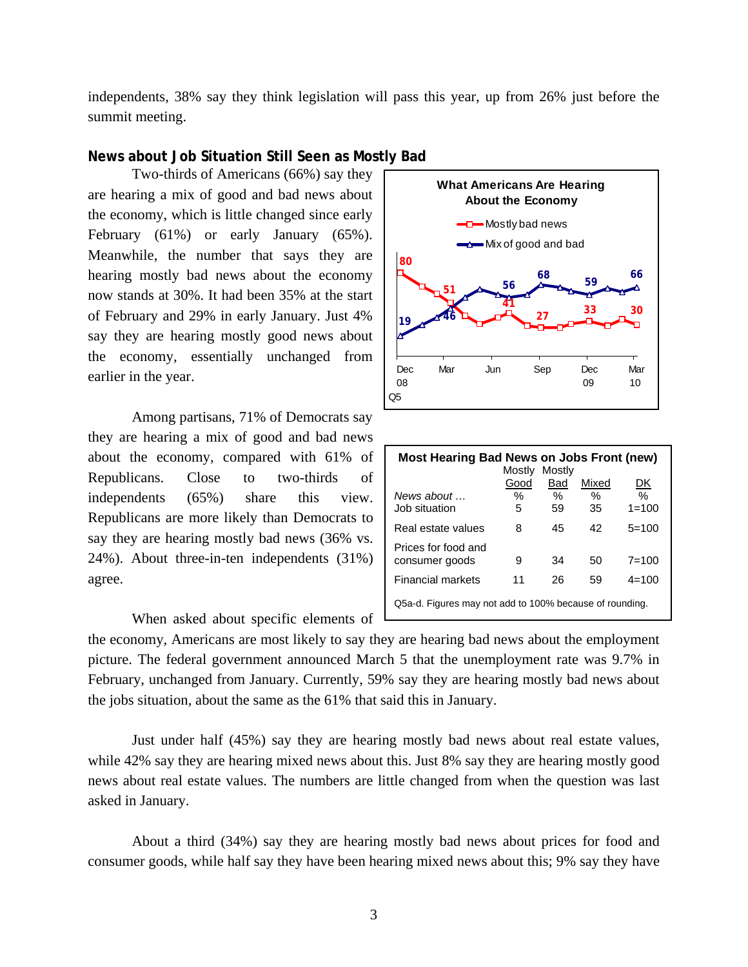independents, 38% say they think legislation will pass this year, up from 26% just before the summit meeting.

### **News about Job Situation Still Seen as Mostly Bad**

Two-thirds of Americans (66%) say they are hearing a mix of good and bad news about the economy, which is little changed since early February (61%) or early January (65%). Meanwhile, the number that says they are hearing mostly bad news about the economy now stands at 30%. It had been 35% at the start of February and 29% in early January. Just 4% say they are hearing mostly good news about the economy, essentially unchanged from earlier in the year.

 Among partisans, 71% of Democrats say they are hearing a mix of good and bad news about the economy, compared with 61% of Republicans. Close to two-thirds of independents (65%) share this view. Republicans are more likely than Democrats to say they are hearing mostly bad news (36% vs. 24%). About three-in-ten independents (31%) agree.



| <b>Most Hearing Bad News on Jobs Front (new)</b><br>Mostly<br>Mostly |      |      |       |           |  |  |  |  |
|----------------------------------------------------------------------|------|------|-------|-----------|--|--|--|--|
|                                                                      | Good | Bad  | Mixed | DK        |  |  |  |  |
| News about $\ldots$                                                  | ℅    | $\%$ | $\%$  | ℅         |  |  |  |  |
| Job situation                                                        | 5    | 59   | 35    | $1 = 100$ |  |  |  |  |
| Real estate values                                                   | 8    | 45   | 42    | $5=100$   |  |  |  |  |
| Prices for food and                                                  |      |      |       |           |  |  |  |  |
| consumer goods                                                       | 9    | 34   | 50    | $7 = 100$ |  |  |  |  |
| <b>Financial markets</b>                                             | 11   | 26   | 59    | $4 = 100$ |  |  |  |  |
| Q5a-d. Figures may not add to 100% because of rounding.              |      |      |       |           |  |  |  |  |

When asked about specific elements of

the economy, Americans are most likely to say they are hearing bad news about the employment picture. The federal government announced March 5 that the unemployment rate was 9.7% in February, unchanged from January. Currently, 59% say they are hearing mostly bad news about the jobs situation, about the same as the 61% that said this in January.

 Just under half (45%) say they are hearing mostly bad news about real estate values, while 42% say they are hearing mixed news about this. Just 8% say they are hearing mostly good news about real estate values. The numbers are little changed from when the question was last asked in January.

 About a third (34%) say they are hearing mostly bad news about prices for food and consumer goods, while half say they have been hearing mixed news about this; 9% say they have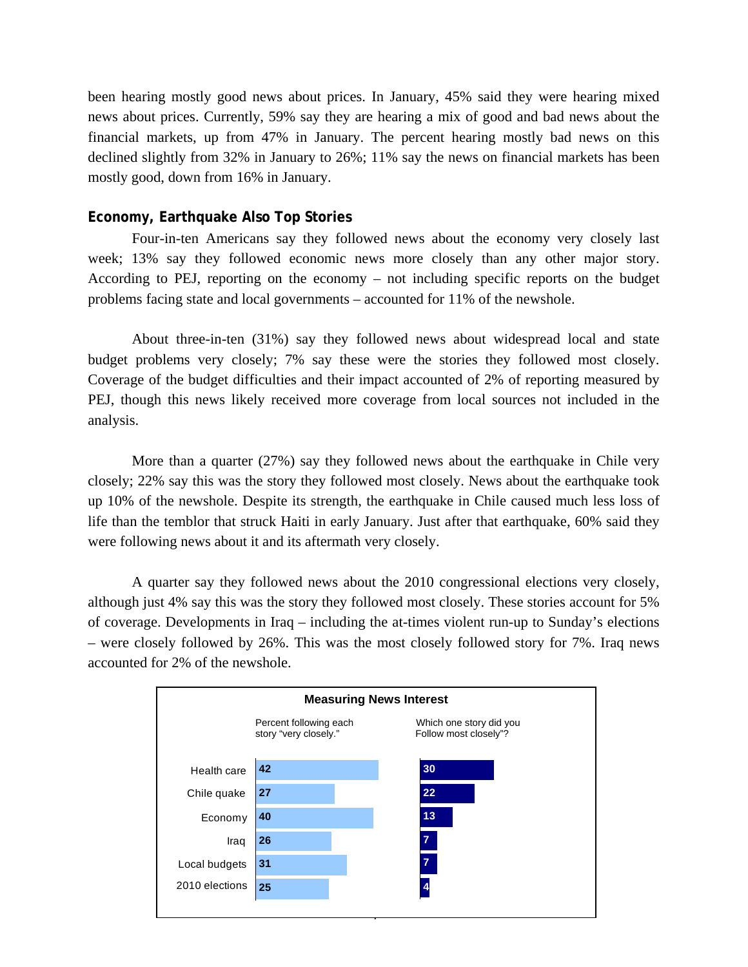been hearing mostly good news about prices. In January, 45% said they were hearing mixed news about prices. Currently, 59% say they are hearing a mix of good and bad news about the financial markets, up from 47% in January. The percent hearing mostly bad news on this declined slightly from 32% in January to 26%; 11% say the news on financial markets has been mostly good, down from 16% in January.

### **Economy, Earthquake Also Top Stories**

Four-in-ten Americans say they followed news about the economy very closely last week; 13% say they followed economic news more closely than any other major story. According to PEJ, reporting on the economy – not including specific reports on the budget problems facing state and local governments – accounted for 11% of the newshole.

 About three-in-ten (31%) say they followed news about widespread local and state budget problems very closely; 7% say these were the stories they followed most closely. Coverage of the budget difficulties and their impact accounted of 2% of reporting measured by PEJ, though this news likely received more coverage from local sources not included in the analysis.

More than a quarter (27%) say they followed news about the earthquake in Chile very closely; 22% say this was the story they followed most closely. News about the earthquake took up 10% of the newshole. Despite its strength, the earthquake in Chile caused much less loss of life than the temblor that struck Haiti in early January. Just after that earthquake, 60% said they were following news about it and its aftermath very closely.

A quarter say they followed news about the 2010 congressional elections very closely, although just 4% say this was the story they followed most closely. These stories account for 5% of coverage. Developments in Iraq – including the at-times violent run-up to Sunday's elections – were closely followed by 26%. This was the most closely followed story for 7%. Iraq news accounted for 2% of the newshole.

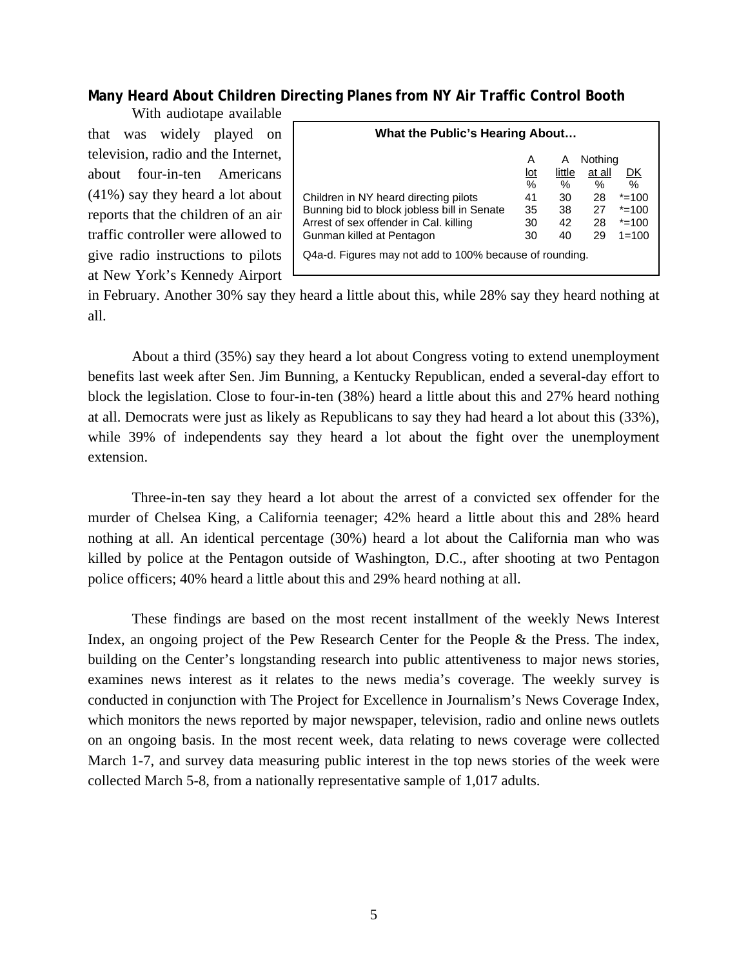# **Many Heard About Children Directing Planes from NY Air Traffic Control Booth**

With audiotape available that was widely played on television, radio and the Internet, about four-in-ten Americans (41%) say they heard a lot about reports that the children of an air traffic controller were allowed to give radio instructions to pilots at New York's Kennedy Airport

| Nothing<br>Α<br>A<br>little<br>at all<br>$\underline{\text{lot}}$<br>DK<br>$\%$<br>$\%$<br>$\%$<br>$\%$<br>28<br>$* = 100$<br>Children in NY heard directing pilots<br>41<br>30<br>Bunning bid to block jobless bill in Senate<br>$* = 100$<br>27<br>35<br>38<br>Arrest of sex offender in Cal. killing<br>28<br>$* = 100$<br>42<br>30<br>Gunman killed at Pentagon<br>29<br>$1 = 100$<br>30<br>40 | What the Public's Hearing About                         |  |  |  |  |  |  |
|----------------------------------------------------------------------------------------------------------------------------------------------------------------------------------------------------------------------------------------------------------------------------------------------------------------------------------------------------------------------------------------------------|---------------------------------------------------------|--|--|--|--|--|--|
|                                                                                                                                                                                                                                                                                                                                                                                                    | Q4a-d. Figures may not add to 100% because of rounding. |  |  |  |  |  |  |

in February. Another 30% say they heard a little about this, while 28% say they heard nothing at all.

About a third (35%) say they heard a lot about Congress voting to extend unemployment benefits last week after Sen. Jim Bunning, a Kentucky Republican, ended a several-day effort to block the legislation. Close to four-in-ten (38%) heard a little about this and 27% heard nothing at all. Democrats were just as likely as Republicans to say they had heard a lot about this (33%), while 39% of independents say they heard a lot about the fight over the unemployment extension.

Three-in-ten say they heard a lot about the arrest of a convicted sex offender for the murder of Chelsea King, a California teenager; 42% heard a little about this and 28% heard nothing at all. An identical percentage (30%) heard a lot about the California man who was killed by police at the Pentagon outside of Washington, D.C., after shooting at two Pentagon police officers; 40% heard a little about this and 29% heard nothing at all.

 These findings are based on the most recent installment of the weekly News Interest Index, an ongoing project of the Pew Research Center for the People & the Press. The index, building on the Center's longstanding research into public attentiveness to major news stories, examines news interest as it relates to the news media's coverage. The weekly survey is conducted in conjunction with The Project for Excellence in Journalism's News Coverage Index, which monitors the news reported by major newspaper, television, radio and online news outlets on an ongoing basis. In the most recent week, data relating to news coverage were collected March 1-7, and survey data measuring public interest in the top news stories of the week were collected March 5-8, from a nationally representative sample of 1,017 adults.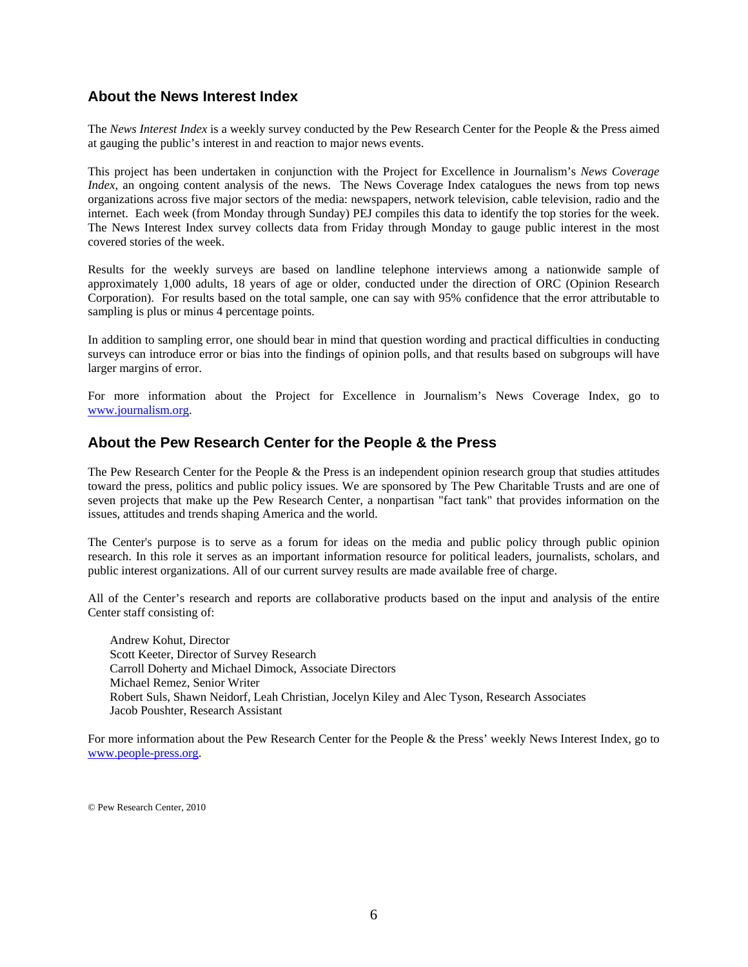### **About the News Interest Index**

The *News Interest Index* is a weekly survey conducted by the Pew Research Center for the People & the Press aimed at gauging the public's interest in and reaction to major news events.

This project has been undertaken in conjunction with the Project for Excellence in Journalism's *News Coverage Index*, an ongoing content analysis of the news. The News Coverage Index catalogues the news from top news organizations across five major sectors of the media: newspapers, network television, cable television, radio and the internet. Each week (from Monday through Sunday) PEJ compiles this data to identify the top stories for the week. The News Interest Index survey collects data from Friday through Monday to gauge public interest in the most covered stories of the week.

Results for the weekly surveys are based on landline telephone interviews among a nationwide sample of approximately 1,000 adults, 18 years of age or older, conducted under the direction of ORC (Opinion Research Corporation). For results based on the total sample, one can say with 95% confidence that the error attributable to sampling is plus or minus 4 percentage points.

In addition to sampling error, one should bear in mind that question wording and practical difficulties in conducting surveys can introduce error or bias into the findings of opinion polls, and that results based on subgroups will have larger margins of error.

For more information about the Project for Excellence in Journalism's News Coverage Index, go to www.journalism.org.

### **About the Pew Research Center for the People & the Press**

The Pew Research Center for the People  $\&$  the Press is an independent opinion research group that studies attitudes toward the press, politics and public policy issues. We are sponsored by The Pew Charitable Trusts and are one of seven projects that make up the Pew Research Center, a nonpartisan "fact tank" that provides information on the issues, attitudes and trends shaping America and the world.

The Center's purpose is to serve as a forum for ideas on the media and public policy through public opinion research. In this role it serves as an important information resource for political leaders, journalists, scholars, and public interest organizations. All of our current survey results are made available free of charge.

All of the Center's research and reports are collaborative products based on the input and analysis of the entire Center staff consisting of:

 Andrew Kohut, Director Scott Keeter, Director of Survey Research Carroll Doherty and Michael Dimock, Associate Directors Michael Remez, Senior Writer Robert Suls, Shawn Neidorf, Leah Christian, Jocelyn Kiley and Alec Tyson, Research Associates Jacob Poushter, Research Assistant

For more information about the Pew Research Center for the People & the Press' weekly News Interest Index, go to www.people-press.org.

© Pew Research Center, 2010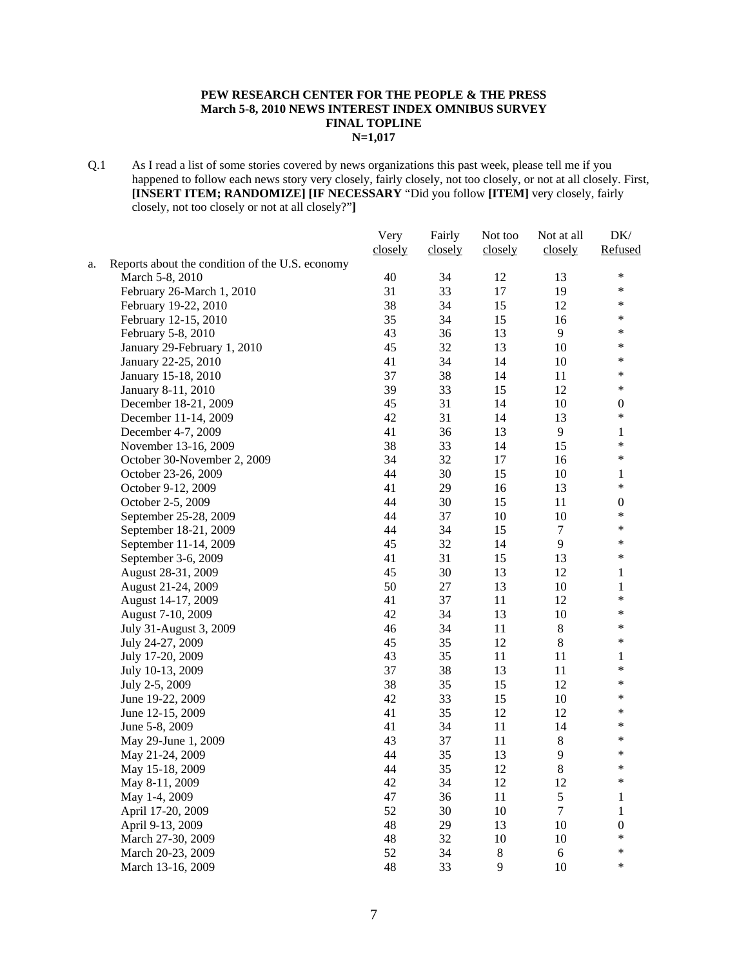#### **PEW RESEARCH CENTER FOR THE PEOPLE & THE PRESS March 5-8, 2010 NEWS INTEREST INDEX OMNIBUS SURVEY FINAL TOPLINE N=1,017**

Q.1 As I read a list of some stories covered by news organizations this past week, please tell me if you happened to follow each news story very closely, fairly closely, not too closely, or not at all closely. First, **[INSERT ITEM; RANDOMIZE] [IF NECESSARY** "Did you follow **[ITEM]** very closely, fairly closely, not too closely or not at all closely?"**]**

|    |                                                 | Very    | Fairly  | Not too | Not at all     | DK/              |
|----|-------------------------------------------------|---------|---------|---------|----------------|------------------|
|    |                                                 | closely | closely | closely | closely        | Refused          |
| a. | Reports about the condition of the U.S. economy |         |         |         |                |                  |
|    | March 5-8, 2010                                 | 40      | 34      | 12      | 13             | $\ast$           |
|    | February 26-March 1, 2010                       | 31      | 33      | 17      | 19             | $\ast$           |
|    | February 19-22, 2010                            | 38      | 34      | 15      | 12             | $\ast$           |
|    | February 12-15, 2010                            | 35      | 34      | 15      | 16             | $\ast$           |
|    | February 5-8, 2010                              | 43      | 36      | 13      | 9              | $\ast$           |
|    | January 29-February 1, 2010                     | 45      | 32      | 13      | 10             | $\ast$           |
|    | January 22-25, 2010                             | 41      | 34      | 14      | 10             | $\ast$           |
|    | January 15-18, 2010                             | 37      | 38      | 14      | 11             | $\ast$           |
|    | January 8-11, 2010                              | 39      | 33      | 15      | 12             | $\ast$           |
|    | December 18-21, 2009                            | 45      | 31      | 14      | 10             | $\boldsymbol{0}$ |
|    | December 11-14, 2009                            | 42      | 31      | 14      | 13             | $\ast$           |
|    | December 4-7, 2009                              | 41      | 36      | 13      | 9              | 1                |
|    | November 13-16, 2009                            | 38      | 33      | 14      | 15             | $\ast$           |
|    | October 30-November 2, 2009                     | 34      | 32      | 17      | 16             | $\ast$           |
|    | October 23-26, 2009                             | 44      | 30      | 15      | 10             | 1                |
|    | October 9-12, 2009                              | 41      | 29      | 16      | 13             | $\ast$           |
|    | October 2-5, 2009                               | 44      | 30      | 15      | 11             | $\boldsymbol{0}$ |
|    | September 25-28, 2009                           | 44      | 37      | $10\,$  | 10             | $\ast$           |
|    | September 18-21, 2009                           | 44      | 34      | 15      | 7              | $\ast$           |
|    | September 11-14, 2009                           | 45      | 32      | 14      | 9              | $\ast$           |
|    | September 3-6, 2009                             | 41      | 31      | 15      | 13             | $\ast$           |
|    | August 28-31, 2009                              | 45      | 30      | 13      | 12             | 1                |
|    | August 21-24, 2009                              | 50      | 27      | 13      | 10             | 1                |
|    | August 14-17, 2009                              | 41      | 37      | 11      | 12             | $\ast$           |
|    | August 7-10, 2009                               | 42      | 34      | 13      | 10             | $\ast$           |
|    | July 31-August 3, 2009                          | 46      | 34      | 11      | $\,8\,$        | $\ast$           |
|    | July 24-27, 2009                                | 45      | 35      | 12      | $8\,$          | $\ast$           |
|    | July 17-20, 2009                                | 43      | 35      | 11      | 11             | 1                |
|    | July 10-13, 2009                                | 37      | 38      | 13      | 11             | $\ast$           |
|    | July 2-5, 2009                                  | 38      | 35      | 15      | 12             | $\ast$           |
|    | June 19-22, 2009                                | 42      | 33      | 15      | 10             | $\ast$           |
|    | June 12-15, 2009                                | 41      | 35      | 12      | 12             | $\ast$           |
|    | June 5-8, 2009                                  | 41      | 34      | 11      | 14             | $\ast$           |
|    | May 29-June 1, 2009                             | 43      | 37      | 11      | $\,$ 8 $\,$    | $\ast$           |
|    | May 21-24, 2009                                 | 44      | 35      | 13      | 9              | $\ast$           |
|    | May 15-18, 2009                                 | 44      | 35      | 12      | 8              | $\ast$           |
|    | May 8-11, 2009                                  | 42      | 34      | 12      | 12             | $\ast$           |
|    | May 1-4, 2009                                   | 47      | 36      | 11      | 5              | $\mathbf{1}$     |
|    | April 17-20, 2009                               | 52      | 30      | $10\,$  | $\overline{7}$ | $\mathbf{1}$     |
|    | April 9-13, 2009                                | 48      | 29      | 13      | 10             | $\boldsymbol{0}$ |
|    | March 27-30, 2009                               | 48      | 32      | $10\,$  | 10             | $\ast$           |
|    | March 20-23, 2009                               | 52      | 34      | $8\,$   | $\sqrt{6}$     | *                |
|    | March 13-16, 2009                               | 48      | 33      | 9       | 10             | *                |
|    |                                                 |         |         |         |                |                  |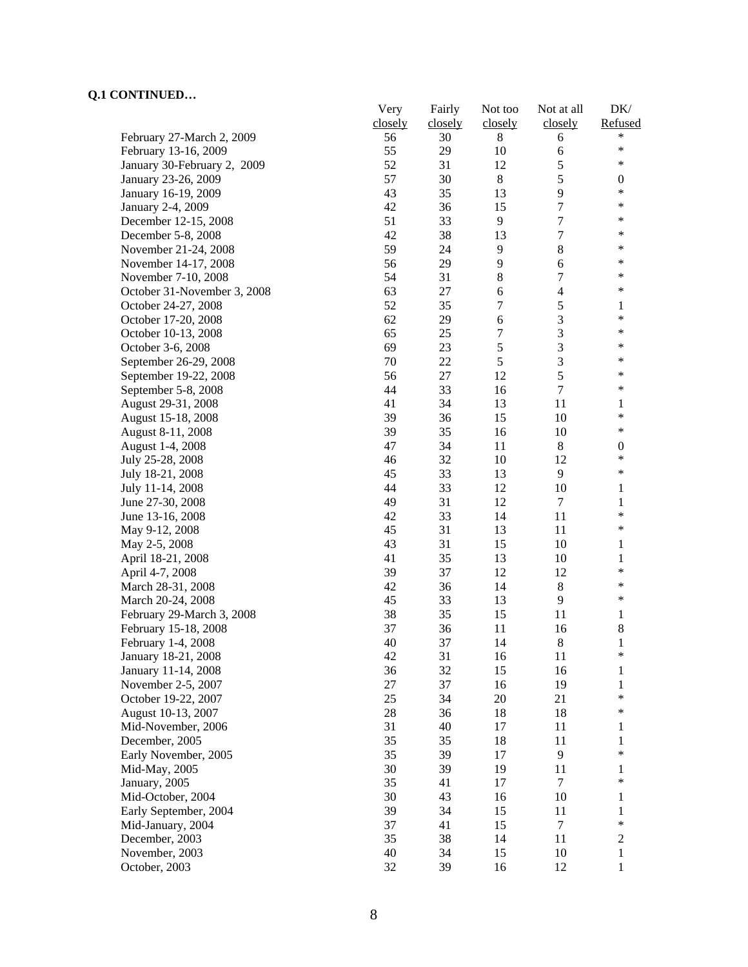|                                           | Very    | Fairly   | Not too  | Not at all       | DK/              |
|-------------------------------------------|---------|----------|----------|------------------|------------------|
|                                           | closely | closely  | closely  | closely          | Refused          |
| February 27-March 2, 2009                 | 56      | 30       | 8        | 6                | *                |
| February 13-16, 2009                      | 55      | 29       | 10       | 6                | $\ast$           |
| January 30-February 2, 2009               | 52      | 31       | 12       | 5                | $\ast$           |
| January 23-26, 2009                       | 57      | 30       | 8        | 5                | $\boldsymbol{0}$ |
| January 16-19, 2009                       | 43      | 35       | 13       | 9                | $\ast$           |
| January 2-4, 2009                         | 42      | 36       | 15       | $\overline{7}$   | $\ast$           |
| December 12-15, 2008                      | 51      | 33       | 9        | $\tau$           | $\ast$           |
| December 5-8, 2008                        | 42      | 38       | 13       | $\boldsymbol{7}$ | ∗                |
| November 21-24, 2008                      | 59      | 24       | 9        | $\,8\,$          | *                |
| November 14-17, 2008                      | 56      | 29       | 9        | 6                | *                |
| November 7-10, 2008                       | 54      | 31       | 8        | $\tau$           | *                |
| October 31-November 3, 2008               | 63      | 27       | 6        | $\overline{4}$   | $\ast$           |
| October 24-27, 2008                       | 52      | 35       | 7        | $\mathfrak s$    | 1                |
| October 17-20, 2008                       | 62      | 29       | 6        | $\mathfrak{Z}$   | $\ast$           |
| October 10-13, 2008                       | 65      | 25       | 7        | 3                | $\ast$           |
| October 3-6, 2008                         | 69      | 23       | 5        | $\overline{3}$   | $\ast$           |
| September 26-29, 2008                     | 70      | 22       | 5        | 3                | $\ast$           |
| September 19-22, 2008                     | 56      | 27       | 12       | 5                | $\ast$           |
| September 5-8, 2008                       | 44      | 33       | 16       | $\tau$           | $\ast$           |
| August 29-31, 2008                        | 41      | 34       | 13       | 11               | 1                |
| August 15-18, 2008                        | 39      | 36       | 15       | 10               | $\ast$           |
| August 8-11, 2008                         | 39      | 35       | 16       | 10               | $\ast$           |
| August 1-4, 2008                          | 47      | 34       | 11       | $\,8\,$          | $\boldsymbol{0}$ |
| July 25-28, 2008                          | 46      | 32       | 10       | 12               | $\ast$           |
| July 18-21, 2008                          | 45      | 33       | 13       | 9                | $\ast$           |
| July 11-14, 2008                          | 44      | 33       | 12       | 10               | 1                |
| June 27-30, 2008                          | 49      | 31       | 12       | $\tau$           | $\mathbf{1}$     |
| June 13-16, 2008                          | 42      | 33       | 14       | 11               | $\ast$           |
| May 9-12, 2008                            | 45      | 31       | 13       | 11               | $\ast$           |
| May 2-5, 2008                             | 43      | 31       | 15       | 10               | 1                |
| April 18-21, 2008                         | 41      | 35       | 13       | 10               | $\mathbf{1}$     |
| April 4-7, 2008                           | 39      | 37       | 12       | 12               | $\ast$           |
| March 28-31, 2008                         | 42      | 36       | 14       | $\,8\,$          | *                |
| March 20-24, 2008                         | 45      | 33       | 13       | 9                | *                |
| February 29-March 3, 2008                 | 38      | 35       | 15       | 11               | 1                |
|                                           | 37      | 36       | 11       | 16               | $\,8\,$          |
| February 15-18, 2008                      | 40      | 37       | 14       | $\,8\,$          | $\mathbf{1}$     |
| February 1-4, 2008                        | 42      |          |          | 11               | ∗                |
| January 18-21, 2008                       | 36      | 31<br>32 | 16<br>15 |                  |                  |
| January 11-14, 2008<br>November 2-5, 2007 | $27\,$  | 37       | 16       | 16<br>19         | 1<br>1           |
|                                           | 25      | 34       | 20       | 21               | $\ast$           |
| October 19-22, 2007                       |         |          |          |                  | $\ast$           |
| August 10-13, 2007                        | 28      | 36       | 18       | 18               |                  |
| Mid-November, 2006                        | 31      | 40       | 17       | 11               | 1                |
| December, 2005                            | 35      | 35       | 18       | 11               | 1<br>$\ast$      |
| Early November, 2005                      | 35      | 39       | 17       | 9                |                  |
| Mid-May, 2005                             | 30      | 39       | 19       | 11               | 1<br>*           |
| January, 2005                             | 35      | 41       | 17       | $\overline{7}$   |                  |
| Mid-October, 2004                         | 30      | 43       | 16       | 10               | 1                |
| Early September, 2004                     | 39      | 34       | 15       | 11               | 1                |
| Mid-January, 2004                         | 37      | 41       | 15       | $\tau$           | $\ast$           |
| December, 2003                            | 35      | 38       | 14       | 11               | $\boldsymbol{2}$ |
| November, 2003                            | 40      | 34       | 15       | 10               | 1                |
| October, 2003                             | 32      | 39       | 16       | 12               | $\mathbf{1}$     |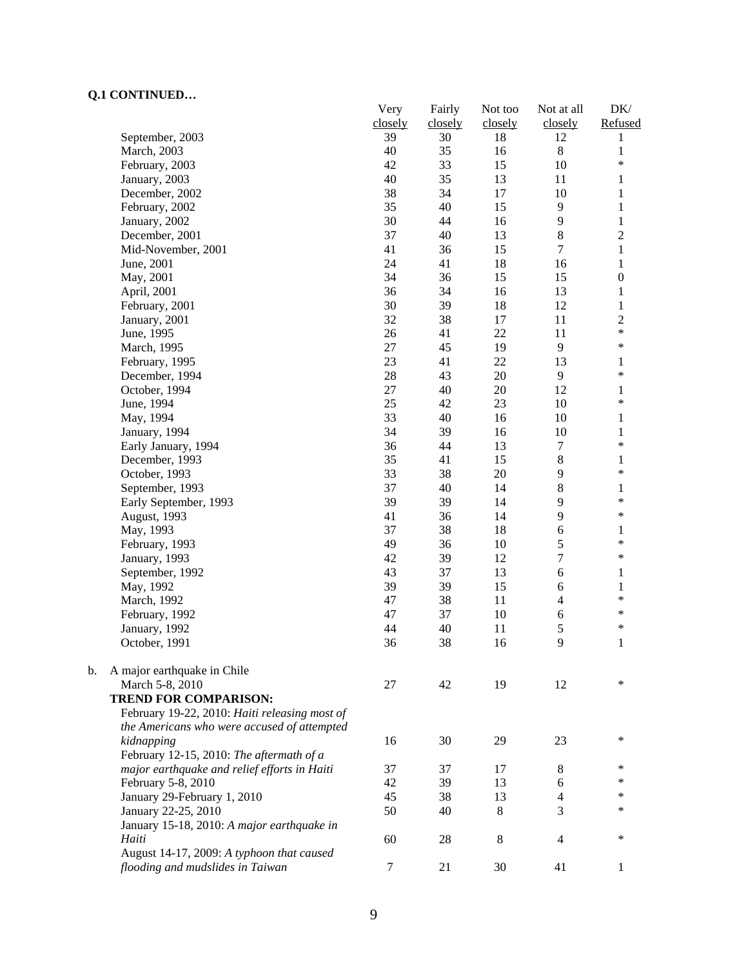|    | ~~~~ <del>~</del> ~~~                         | Very    | Fairly  | Not too | Not at all          | DK/               |
|----|-----------------------------------------------|---------|---------|---------|---------------------|-------------------|
|    |                                               | closely | closely | closely | closely             | Refused           |
|    | September, 2003                               | 39      | 30      | 18      | 12                  | 1                 |
|    | March, 2003                                   | 40      | 35      | 16      | $\,8\,$             | $\mathbf{1}$      |
|    | February, 2003                                | 42      | 33      | 15      | 10                  | *                 |
|    | January, 2003                                 | 40      | 35      | 13      | 11                  | $\mathbf{1}$      |
|    | December, 2002                                | 38      | 34      | 17      | 10                  | $\mathbf{1}$      |
|    | February, 2002                                | 35      | 40      | 15      | 9                   | $\mathbf{1}$      |
|    | January, 2002                                 | 30      | 44      | 16      | 9                   | $\mathbf{1}$      |
|    | December, 2001                                | 37      | 40      | 13      | 8                   | $\overline{c}$    |
|    | Mid-November, 2001                            | 41      | 36      | 15      | $\overline{7}$      | $\mathbf{1}$      |
|    | June, 2001                                    | 24      | 41      | 18      | 16                  | $\mathbf{1}$      |
|    | May, 2001                                     | 34      | 36      | 15      | 15                  | $\boldsymbol{0}$  |
|    | April, 2001                                   | 36      | 34      | 16      | 13                  | $\mathbf{1}$      |
|    | February, 2001                                | 30      | 39      | 18      | 12                  | $\mathbf{1}$      |
|    | January, 2001                                 | 32      | 38      | 17      | 11                  | $\sqrt{2}$        |
|    | June, 1995                                    | 26      | 41      | 22      | 11                  | $\ast$            |
|    | March, 1995                                   | 27      | 45      | 19      | 9                   | $\ast$            |
|    | February, 1995                                | 23      | 41      | 22      | 13                  | 1                 |
|    | December, 1994                                | $28\,$  | 43      | 20      | 9                   | $\ast$            |
|    | October, 1994                                 | 27      | 40      | 20      | 12                  | 1                 |
|    | June, 1994                                    | 25      | 42      | 23      | 10                  | $\ast$            |
|    | May, 1994                                     | 33      | 40      | 16      | $10\,$              | 1                 |
|    | January, 1994                                 | 34      | 39      | 16      | 10                  | $\mathbf{1}$      |
|    | Early January, 1994                           | 36      | 44      | 13      | $\tau$              | $\ast$            |
|    | December, 1993                                | 35      | 41      | 15      | $\,8\,$             | $\mathbf{1}$      |
|    | October, 1993                                 | 33      | 38      | 20      | 9                   | $\ast$            |
|    | September, 1993                               | 37      | 40      | 14      | 8                   | $\mathbf{1}$      |
|    | Early September, 1993                         | 39      | 39      | 14      | 9                   | $\ast$            |
|    | August, 1993                                  | 41      | 36      | 14      | 9                   | $\ast$            |
|    | May, 1993                                     | 37      | 38      | 18      | $\sqrt{6}$          | 1                 |
|    | February, 1993                                | 49      | 36      | 10      | 5                   | $\ast$            |
|    | January, 1993                                 | 42      | 39      | 12      | $\boldsymbol{7}$    | $\ast$            |
|    | September, 1992                               | 43      | 37      | 13      | 6                   |                   |
|    |                                               | 39      | 39      | 15      |                     | $\mathbf{1}$      |
|    | May, 1992                                     | 47      |         |         | 6<br>$\overline{4}$ | $\mathbf{1}$<br>* |
|    | March, 1992                                   |         | 38      | 11      |                     | $\ast$            |
|    | February, 1992                                | 47      | 37      | 10      | 6                   | $\ast$            |
|    | January, 1992                                 | 44      | 40      | 11      | 5                   |                   |
|    | October, 1991                                 | 36      | 38      | 16      | 9                   | 1                 |
| b. | A major earthquake in Chile                   |         |         |         |                     |                   |
|    | March 5-8, 2010                               | 27      | 42      | 19      | 12                  | $\ast$            |
|    | <b>TREND FOR COMPARISON:</b>                  |         |         |         |                     |                   |
|    | February 19-22, 2010: Haiti releasing most of |         |         |         |                     |                   |
|    | the Americans who were accused of attempted   |         |         |         |                     |                   |
|    | kidnapping                                    | 16      | 30      | 29      | 23                  | *                 |
|    | February 12-15, 2010: The aftermath of a      |         |         |         |                     |                   |
|    | major earthquake and relief efforts in Haiti  | 37      | 37      | 17      | 8                   | ∗                 |
|    | February 5-8, 2010                            | 42      | 39      | 13      | 6                   | *                 |
|    | January 29-February 1, 2010                   | 45      | 38      | 13      | 4                   | *                 |
|    | January 22-25, 2010                           | 50      | 40      | 8       | 3                   | *                 |
|    | January 15-18, 2010: A major earthquake in    |         |         |         |                     |                   |
|    | Haiti                                         | 60      | 28      | $\,8$   | 4                   | ∗                 |
|    | August 14-17, 2009: A typhoon that caused     |         |         |         |                     |                   |
|    | flooding and mudslides in Taiwan              | $\tau$  | 21      | 30      | 41                  | 1                 |
|    |                                               |         |         |         |                     |                   |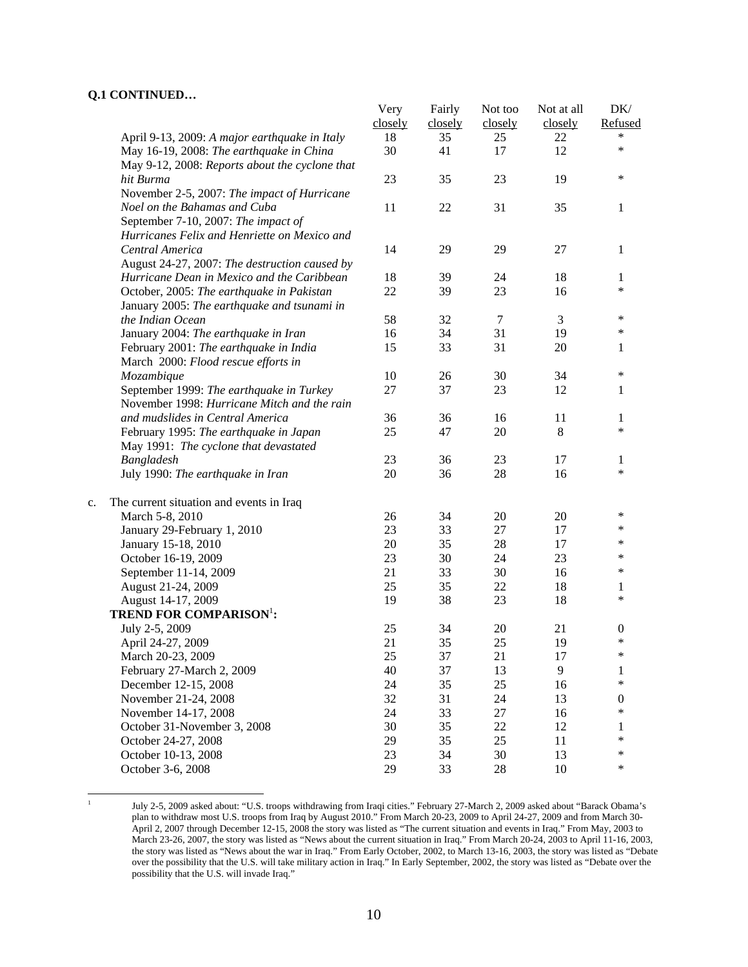|    |                                                | Very<br>closely | Fairly<br>closely | Not too<br>closely | Not at all<br>closely | DK/<br>Refused   |
|----|------------------------------------------------|-----------------|-------------------|--------------------|-----------------------|------------------|
|    | April 9-13, 2009: A major earthquake in Italy  | 18              | 35                | 25                 | 22                    | *                |
|    | May 16-19, 2008: The earthquake in China       | 30              | 41                | 17                 | 12                    | $\ast$           |
|    | May 9-12, 2008: Reports about the cyclone that |                 |                   |                    |                       |                  |
|    | hit Burma                                      | 23              | 35                | 23                 | 19                    | $\ast$           |
|    | November 2-5, 2007: The impact of Hurricane    |                 |                   |                    |                       |                  |
|    | Noel on the Bahamas and Cuba                   | 11              | 22                | 31                 | 35                    | 1                |
|    | September 7-10, 2007: The impact of            |                 |                   |                    |                       |                  |
|    | Hurricanes Felix and Henriette on Mexico and   |                 |                   |                    |                       |                  |
|    | Central America                                | 14              | 29                | 29                 | 27                    | 1                |
|    | August 24-27, 2007: The destruction caused by  |                 |                   |                    |                       |                  |
|    | Hurricane Dean in Mexico and the Caribbean     | 18              | 39                | 24                 | 18                    | 1                |
|    | October, 2005: The earthquake in Pakistan      | 22              | 39                | 23                 | 16                    | $\ast$           |
|    | January 2005: The earthquake and tsunami in    |                 |                   |                    |                       |                  |
|    | the Indian Ocean                               | 58              | 32                | $\tau$             | 3                     | ∗                |
|    | January 2004: The earthquake in Iran           | 16              | 34                | 31                 | 19                    | $\ast$           |
|    | February 2001: The earthquake in India         | 15              | 33                | 31                 | 20                    | 1                |
|    | March 2000: Flood rescue efforts in            |                 |                   |                    |                       |                  |
|    | Mozambique                                     | 10              | 26                | 30                 | 34                    | $\ast$           |
|    | September 1999: The earthquake in Turkey       | 27              | 37                | 23                 | 12                    | 1                |
|    | November 1998: Hurricane Mitch and the rain    |                 |                   |                    |                       |                  |
|    | and mudslides in Central America               | 36              | 36                | 16                 | 11                    | 1                |
|    | February 1995: The earthquake in Japan         | 25              | 47                | 20                 | 8                     | $\ast$           |
|    | May 1991: The cyclone that devastated          |                 |                   |                    |                       |                  |
|    | Bangladesh                                     | 23              | 36                | 23                 | 17                    | 1                |
|    | July 1990: The earthquake in Iran              | 20              | 36                | 28                 | 16                    | $\ast$           |
| c. | The current situation and events in Iraq       |                 |                   |                    |                       |                  |
|    | March 5-8, 2010                                | 26              | 34                | 20                 | 20                    | ∗                |
|    | January 29-February 1, 2010                    | 23              | 33                | 27                 | 17                    | *                |
|    | January 15-18, 2010                            | 20              | 35                | 28                 | 17                    | *                |
|    | October 16-19, 2009                            | 23              | 30                | 24                 | 23                    | ∗                |
|    | September 11-14, 2009                          | 21              | 33                | 30                 | 16                    | *                |
|    | August 21-24, 2009                             | 25              | 35                | 22                 | 18                    | 1                |
|    | August 14-17, 2009                             | 19              | 38                | 23                 | 18                    | $\ast$           |
|    | <b>TREND FOR COMPARISON':</b>                  |                 |                   |                    |                       |                  |
|    | July 2-5, 2009                                 | 25              | 34                | 20                 | 21                    | $\boldsymbol{0}$ |
|    | April 24-27, 2009                              | 21              | 35                | 25                 | 19                    | $\ast$           |
|    | March 20-23, 2009                              | 25              | 37                | 21                 | 17                    | $\ast$           |
|    | February 27-March 2, 2009                      | 40              | 37                | 13                 | 9                     | 1                |
|    | December 12-15, 2008                           | 24              | 35                | 25                 | 16                    | $\ast$           |
|    | November 21-24, 2008                           | 32              | 31                | 24                 | 13                    | $\boldsymbol{0}$ |
|    | November 14-17, 2008                           | 24              | 33                | 27                 | 16                    | $\ast$           |
|    | October 31-November 3, 2008                    | 30              | 35                | 22                 | 12                    | 1                |
|    | October 24-27, 2008                            | 29              | 35                | 25                 | 11                    | $\ast$           |
|    | October 10-13, 2008                            | 23              | 34                | 30                 | 13                    | $\ast$           |
|    | October 3-6, 2008                              | 29              | 33                | 28                 | 10                    | $\ast$           |

 $\frac{1}{1}$ 

July 2-5, 2009 asked about: "U.S. troops withdrawing from Iraqi cities." February 27-March 2, 2009 asked about "Barack Obama's plan to withdraw most U.S. troops from Iraq by August 2010." From March 20-23, 2009 to April 24-27, 2009 and from March 30- April 2, 2007 through December 12-15, 2008 the story was listed as "The current situation and events in Iraq." From May, 2003 to March 23-26, 2007, the story was listed as "News about the current situation in Iraq." From March 20-24, 2003 to April 11-16, 2003, the story was listed as "News about the war in Iraq." From Early October, 2002, to March 13-16, 2003, the story was listed as "Debate over the possibility that the U.S. will take military action in Iraq." In Early September, 2002, the story was listed as "Debate over the possibility that the U.S. will invade Iraq."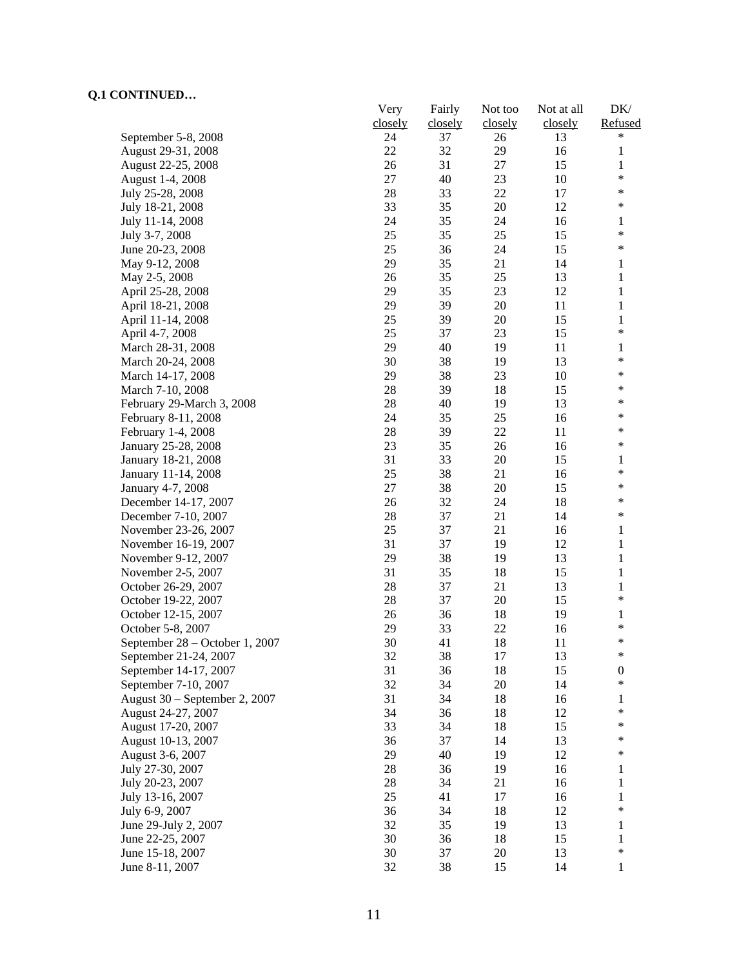|                                | Very    | Fairly  | Not too | Not at all | DK/                   |
|--------------------------------|---------|---------|---------|------------|-----------------------|
|                                | closely | closely | closely | closely    | Refused               |
| September 5-8, 2008            | 24      | 37      | 26      | 13         | *                     |
| August 29-31, 2008             | 22      | 32      | 29      | 16         | $\mathbf{1}$          |
| August 22-25, 2008             | 26      | 31      | 27      | 15         | $\mathbf{1}$          |
| August 1-4, 2008               | 27      | 40      | 23      | 10         | $\ast$                |
| July 25-28, 2008               | 28      | 33      | 22      | 17         | $\ast$                |
| July 18-21, 2008               | 33      | 35      | 20      | 12         | $\ast$                |
| July 11-14, 2008               | 24      | 35      | 24      | 16         | 1                     |
| July 3-7, 2008                 | 25      | 35      | 25      | 15         | $\ast$                |
| June 20-23, 2008               | 25      | 36      | 24      | 15         | $\ast$                |
| May 9-12, 2008                 | 29      | 35      | 21      | 14         | 1                     |
| May 2-5, 2008                  | 26      | 35      | 25      | 13         | $\mathbf{1}$          |
| April 25-28, 2008              | 29      | 35      | 23      | 12         | $\mathbf{1}$          |
| April 18-21, 2008              | 29      | 39      | 20      | 11         | $\mathbf{1}$          |
| April 11-14, 2008              | 25      | 39      | 20      | 15         | $\mathbf{1}$          |
| April 4-7, 2008                | 25      | 37      | 23      | 15         | $\ast$                |
| March 28-31, 2008              | 29      | 40      | 19      | 11         | 1                     |
| March 20-24, 2008              | 30      | 38      | 19      | 13         | $\ast$                |
| March 14-17, 2008              | 29      | 38      | 23      | 10         | $\ast$                |
| March 7-10, 2008               | $28\,$  | 39      | 18      | 15         | $\ast$                |
| February 29-March 3, 2008      | 28      | 40      | 19      | 13         | *                     |
| February 8-11, 2008            | 24      | 35      | 25      | 16         | $\ast$                |
| February 1-4, 2008             | 28      | 39      | 22      | 11         | $\ast$                |
| January 25-28, 2008            | 23      | 35      | 26      | 16         | ∗                     |
| January 18-21, 2008            | 31      | 33      | 20      | 15         | 1                     |
| January 11-14, 2008            | 25      | 38      | 21      | 16         | $\ast$                |
| January 4-7, 2008              | 27      | 38      | 20      | 15         | $\ast$                |
| December 14-17, 2007           | 26      | 32      | 24      | 18         | $\ast$                |
| December 7-10, 2007            | 28      | 37      | 21      | 14         | $\ast$                |
| November 23-26, 2007           | 25      | 37      | 21      | 16         | 1                     |
|                                | 31      | 37      | 19      | 12         | 1                     |
| November 16-19, 2007           | 29      | 38      | 19      | 13         | 1                     |
| November 9-12, 2007            | 31      | 35      |         | 15         |                       |
| November 2-5, 2007             |         |         | 18      |            | $\mathbf{1}$          |
| October 26-29, 2007            | 28      | 37      | 21      | 13         | 1<br>$\ast$           |
| October 19-22, 2007            | 28      | 37      | 20      | 15         |                       |
| October 12-15, 2007            | 26      | 36      | 18      | 19         | 1<br>$\ast$           |
| October 5-8, 2007              | 29      | 33      | 22      | 16         | $\ast$                |
| September 28 – October 1, 2007 | 30      | 41      | 18      | 11         | ∗                     |
| September 21-24, 2007          | 32      | 38      | 17      | 13         |                       |
| September 14-17, 2007          | 31      | 36      | 18      | 15         | $\boldsymbol{0}$<br>* |
| September 7-10, 2007           | 32      | 34      | 20      | 14         |                       |
| August 30 - September 2, 2007  | 31      | 34      | 18      | 16         | 1<br>$\ast$           |
| August 24-27, 2007             | 34      | 36      | 18      | 12         |                       |
| August 17-20, 2007             | 33      | 34      | 18      | 15         | $\ast$                |
| August 10-13, 2007             | 36      | 37      | 14      | 13         | $\ast$                |
| August 3-6, 2007               | 29      | 40      | 19      | 12         | $\ast$                |
| July 27-30, 2007               | 28      | 36      | 19      | 16         | 1                     |
| July 20-23, 2007               | 28      | 34      | 21      | 16         | 1                     |
| July 13-16, 2007               | 25      | 41      | 17      | 16         | $\mathbf{1}$          |
| July 6-9, 2007                 | 36      | 34      | 18      | 12         | *                     |
| June 29-July 2, 2007           | 32      | 35      | 19      | 13         | 1                     |
| June 22-25, 2007               | 30      | 36      | 18      | 15         | 1                     |
| June 15-18, 2007               | 30      | 37      | 20      | 13         | $\ast$                |
| June 8-11, 2007                | 32      | 38      | 15      | 14         | 1                     |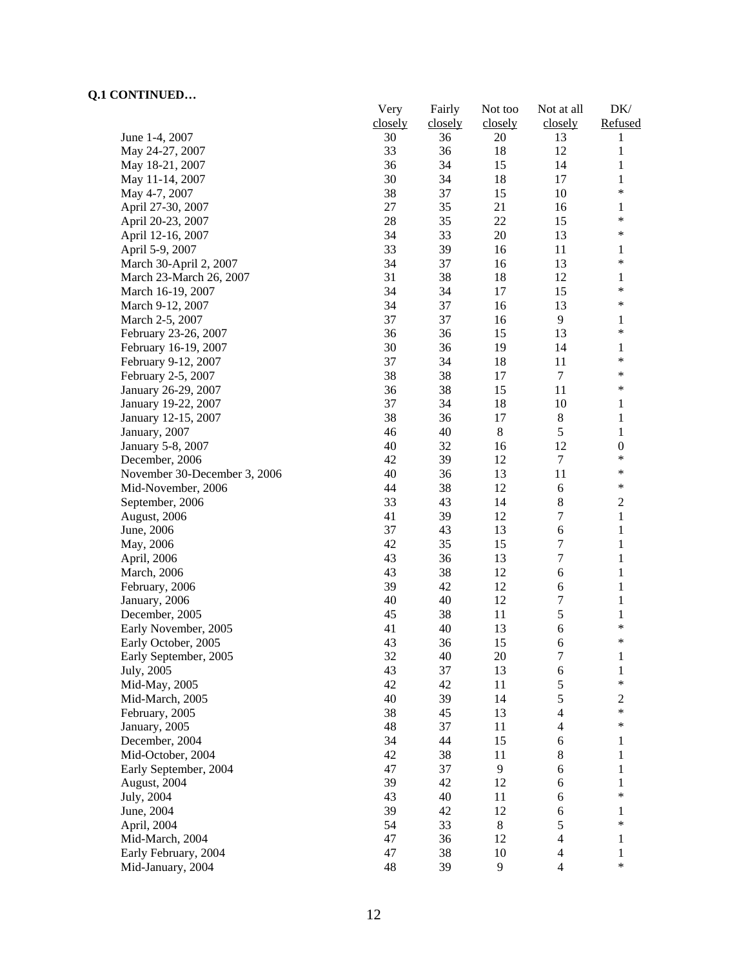|                              | Very    | Fairly  | Not too | Not at all       | DK/                    |
|------------------------------|---------|---------|---------|------------------|------------------------|
|                              | closely | closely | closely | closely          | Refused                |
| June 1-4, 2007               | 30      | 36      | 20      | 13               | 1                      |
| May 24-27, 2007              | 33      | 36      | 18      | 12               | $\mathbf{1}$           |
| May 18-21, 2007              | 36      | 34      | 15      | 14               | $\mathbf{1}$           |
| May 11-14, 2007              | 30      | 34      | 18      | 17               | $\mathbf{1}$<br>$\ast$ |
| May 4-7, 2007                | 38      | 37      | 15      | 10               |                        |
| April 27-30, 2007            | 27      | 35      | 21      | 16               | 1<br>$\ast$            |
| April 20-23, 2007            | 28      | 35      | 22      | 15               | $\ast$                 |
| April 12-16, 2007            | 34      | 33      | $20\,$  | 13               |                        |
| April 5-9, 2007              | 33      | 39      | 16      | 11               | 1<br>$\ast$            |
| March 30-April 2, 2007       | 34      | 37      | 16      | 13               |                        |
| March 23-March 26, 2007      | 31      | 38      | 18      | 12               | 1<br>$\ast$            |
| March 16-19, 2007            | 34      | 34      | 17      | 15               |                        |
| March 9-12, 2007             | 34      | 37      | 16      | 13               | $\ast$                 |
| March 2-5, 2007              | 37      | 37      | 16      | 9                | 1                      |
| February 23-26, 2007         | 36      | 36      | 15      | 13               | $\ast$                 |
| February 16-19, 2007         | 30      | 36      | 19      | 14               | 1                      |
| February 9-12, 2007          | 37      | 34      | 18      | 11               | $\ast$                 |
| February 2-5, 2007           | 38      | 38      | 17      | $\tau$           | $\ast$                 |
| January 26-29, 2007          | 36      | 38      | 15      | 11               | *                      |
| January 19-22, 2007          | 37      | 34      | 18      | 10               | 1                      |
| January 12-15, 2007          | 38      | 36      | 17      | $8\,$            | 1                      |
| January, 2007                | 46      | 40      | 8       | 5                | $\mathbf{1}$           |
| January 5-8, 2007            | 40      | 32      | 16      | 12               | $\boldsymbol{0}$       |
| December, 2006               | 42      | 39      | 12      | $\boldsymbol{7}$ | $\ast$                 |
| November 30-December 3, 2006 | 40      | 36      | 13      | 11               | $\ast$                 |
| Mid-November, 2006           | 44      | 38      | 12      | $\sqrt{6}$       | $\ast$                 |
| September, 2006              | 33      | 43      | 14      | $8\,$            | $\overline{c}$         |
| August, 2006                 | 41      | 39      | 12      | 7                | $\mathbf{1}$           |
| June, 2006                   | 37      | 43      | 13      | 6                | $\mathbf{1}$           |
| May, 2006                    | 42      | 35      | 15      | $\boldsymbol{7}$ | $\mathbf{1}$           |
| April, 2006                  | 43      | 36      | 13      | 7                | $\mathbf{1}$           |
| March, 2006                  | 43      | 38      | 12      | 6                | $\mathbf{1}$           |
| February, 2006               | 39      | 42      | 12      | 6                | $\mathbf{1}$           |
| January, 2006                | 40      | 40      | 12      | $\boldsymbol{7}$ | $\mathbf{1}$           |
| December, 2005               | 45      | 38      | 11      | 5                | $\mathbf{1}$           |
| Early November, 2005         | 41      | 40      | 13      | 6                | $\ast$<br>*            |
| Early October, 2005          | 43      | 36      | 15      | 6                |                        |
| Early September, 2005        | 32      | 40      | 20      | 7                | $\mathbf{1}$           |
| July, 2005                   | 43      | 37      | 13      | 6                | $\mathbf{1}$<br>$\ast$ |
| Mid-May, 2005                | 42      | 42      | 11      | 5                |                        |
| Mid-March, 2005              | 40      | 39      | 14      | 5                | $\overline{c}$         |
| February, 2005               | 38      | 45      | 13      | $\overline{4}$   | $\ast$                 |
| January, 2005                | 48      | 37      | 11      | $\overline{4}$   | $\ast$                 |
| December, 2004               | 34      | 44      | 15      | 6                | 1                      |
| Mid-October, 2004            | 42      | 38      | 11      | $8\,$            | 1                      |
| Early September, 2004        | 47      | 37      | 9       | 6                | 1                      |
| August, 2004                 | 39      | 42      | 12      | 6                | 1                      |
| July, 2004                   | 43      | 40      | 11      | 6                | $\ast$                 |
| June, 2004                   | 39      | 42      | 12      | 6                | 1                      |
| April, 2004                  | 54      | 33      | $8\,$   | 5                | $\ast$                 |
| Mid-March, 2004              | 47      | 36      | 12      | $\overline{4}$   | $\mathbf{1}$           |
| Early February, 2004         | 47      | 38      | 10      | $\overline{4}$   | $\mathbf{1}$           |
| Mid-January, 2004            | 48      | 39      | 9       | $\overline{4}$   | $\ast$                 |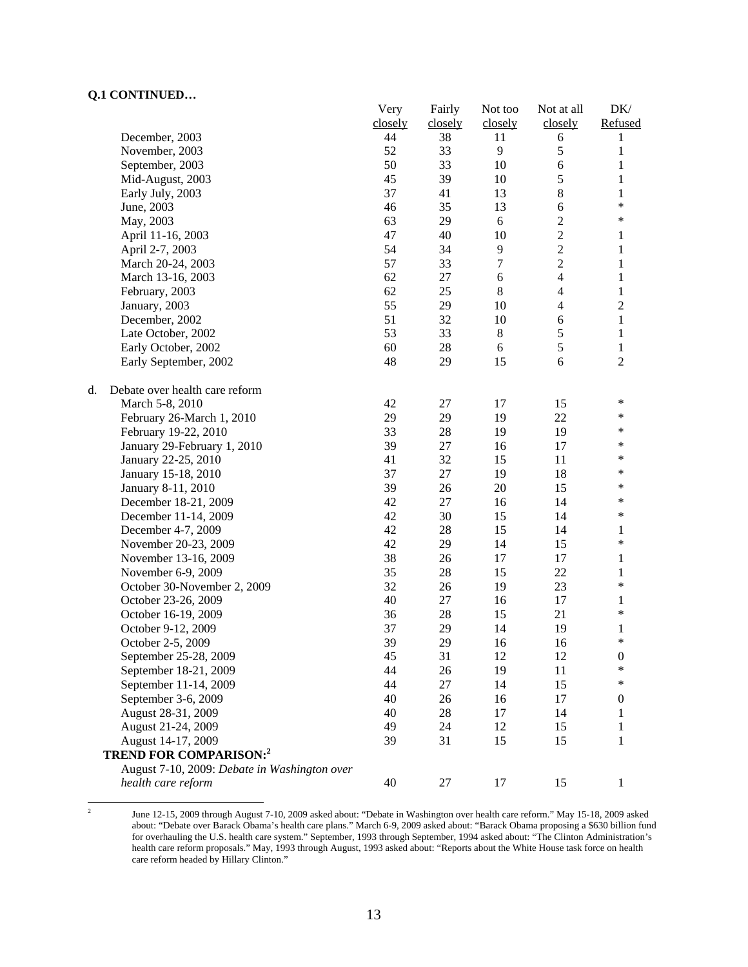|                                              | Very    | Fairly  | Not too          | Not at all     | DK/              |
|----------------------------------------------|---------|---------|------------------|----------------|------------------|
|                                              | closely | closely | closely          | closely        | Refused          |
| December, 2003                               | 44      | 38      | 11               | 6              | 1                |
| November, 2003                               | 52      | 33      | 9                | $\mathfrak s$  | $\mathbf{1}$     |
| September, 2003                              | 50      | 33      | 10               | $\sqrt{6}$     | $\mathbf{1}$     |
| Mid-August, 2003                             | 45      | 39      | 10               | 5              | $\mathbf{1}$     |
| Early July, 2003                             | 37      | 41      | 13               | $\bf 8$        | $\mathbf{1}$     |
| June, 2003                                   | 46      | 35      | 13               | $\sqrt{6}$     | $\ast$           |
| May, 2003                                    | 63      | 29      | 6                | $\sqrt{2}$     | $\ast$           |
| April 11-16, 2003                            | 47      | 40      | 10               | $\overline{c}$ | 1                |
| April 2-7, 2003                              | 54      | 34      | 9                | $\overline{c}$ | $\mathbf{1}$     |
| March 20-24, 2003                            | 57      | 33      | $\boldsymbol{7}$ | $\overline{2}$ | $\mathbf{1}$     |
| March 13-16, 2003                            | 62      | $27\,$  | 6                | $\overline{4}$ | $\mathbf{1}$     |
| February, 2003                               | 62      | 25      | $\,8\,$          | $\overline{4}$ | $\mathbf{1}$     |
| January, 2003                                | 55      | 29      | 10               | $\overline{4}$ | $\overline{c}$   |
| December, 2002                               | 51      | 32      | 10               | $\sqrt{6}$     | $\,1$            |
| Late October, 2002                           | 53      | 33      | $8\,$            | 5              | $\,1$            |
| Early October, 2002                          | 60      | $28\,$  | 6                | 5              | $\mathbf{1}$     |
| Early September, 2002                        | 48      | 29      | 15               | 6              | $\overline{2}$   |
| Debate over health care reform<br>d.         |         |         |                  |                |                  |
| March 5-8, 2010                              | 42      | 27      | 17               | 15             | $\ast$           |
| February 26-March 1, 2010                    | 29      | 29      | 19               | 22             | *                |
| February 19-22, 2010                         | 33      | $28\,$  | 19               | 19             | $\ast$           |
| January 29-February 1, 2010                  | 39      | 27      | 16               | 17             | *                |
| January 22-25, 2010                          | 41      | 32      | 15               | 11             | *                |
| January 15-18, 2010                          | 37      | $27\,$  | 19               | 18             | $\ast$           |
| January 8-11, 2010                           | 39      | 26      | 20               | 15             | *                |
| December 18-21, 2009                         | 42      | $27\,$  | 16               | 14             | *                |
| December 11-14, 2009                         | 42      | 30      | 15               | 14             | *                |
| December 4-7, 2009                           | 42      | 28      | 15               | 14             | 1                |
| November 20-23, 2009                         | 42      | 29      | 14               | 15             | *                |
| November 13-16, 2009                         | 38      | 26      | 17               | 17             | $\mathbf{1}$     |
| November 6-9, 2009                           | 35      | 28      | 15               | 22             | $\mathbf{1}$     |
| October 30-November 2, 2009                  | 32      | 26      | 19               | 23             | $\ast$           |
| October 23-26, 2009                          | 40      | 27      | 16               | 17             | $\mathbf{1}$     |
| October 16-19, 2009                          | 36      | 28      | 15               | 21             | $\ast$           |
| October 9-12, 2009                           | 37      | 29      | 14               | 19             | 1                |
| October 2-5, 2009                            | 39      | 29      | 16               | 16             | $\ast$           |
| September 25-28, 2009                        | 45      | 31      | 12               | 12             | $\boldsymbol{0}$ |
| September 18-21, 2009                        | 44      | 26      | 19               | 11             | $\ast$           |
| September 11-14, 2009                        | 44      | $27\,$  | 14               | 15             | $\ast$           |
| September 3-6, 2009                          | 40      | 26      | 16               | 17             | $\boldsymbol{0}$ |
| August 28-31, 2009                           | 40      | $28\,$  | 17               | 14             | 1                |
| August 21-24, 2009                           | 49      | 24      | 12               | 15             | 1                |
| August 14-17, 2009                           | 39      | 31      | 15               | 15             | 1                |
| <b>TREND FOR COMPARISON:2</b>                |         |         |                  |                |                  |
| August 7-10, 2009: Debate in Washington over |         |         |                  |                |                  |
| health care reform                           | 40      | $27\,$  | 17               | 15             | 1                |

 $\frac{1}{2}$  June 12-15, 2009 through August 7-10, 2009 asked about: "Debate in Washington over health care reform." May 15-18, 2009 asked about: "Debate over Barack Obama's health care plans." March 6-9, 2009 asked about: "Barack Obama proposing a \$630 billion fund for overhauling the U.S. health care system." September, 1993 through September, 1994 asked about: "The Clinton Administration's health care reform proposals." May, 1993 through August, 1993 asked about: "Reports about the White House task force on health care reform headed by Hillary Clinton."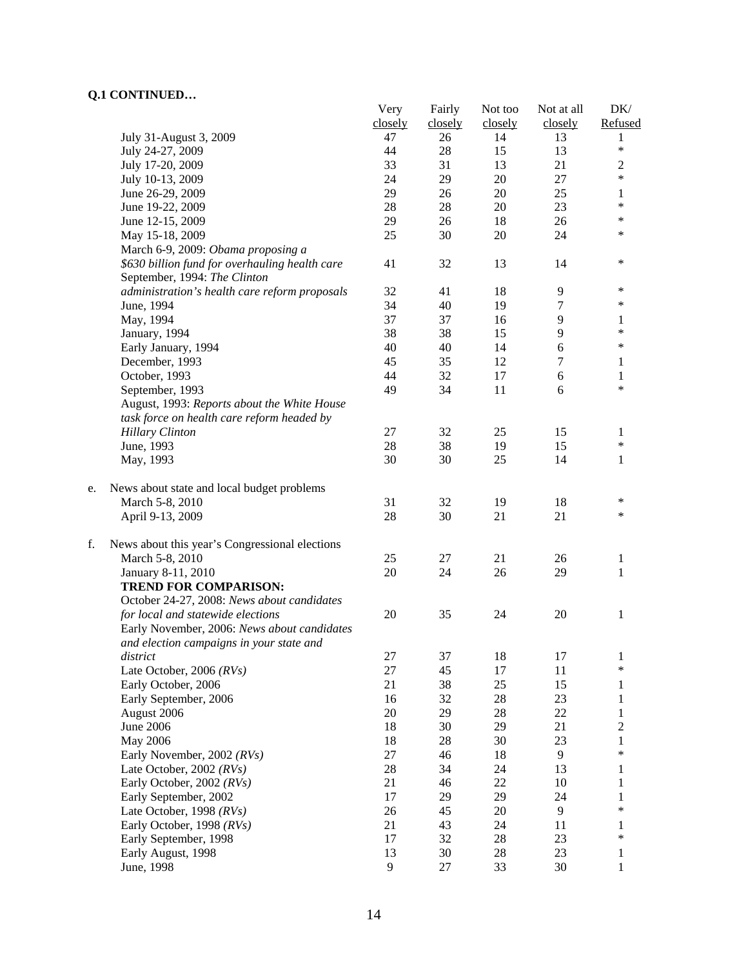|    | ou contra come                                 | Very    | Fairly  | Not too | Not at all | DK/               |
|----|------------------------------------------------|---------|---------|---------|------------|-------------------|
|    |                                                | closely | closely | closely | closely    | Refused           |
|    | July 31-August 3, 2009                         | 47      | 26      | 14      | 13         | 1                 |
|    | July 24-27, 2009                               | 44      | $28\,$  | 15      | 13         | $\ast$            |
|    | July 17-20, 2009                               | 33      | 31      | 13      | 21         | $\overline{2}$    |
|    | July 10-13, 2009                               | 24      | 29      | $20\,$  | $27\,$     | $\ast$            |
|    | June 26-29, 2009                               | 29      | 26      | 20      | 25         | 1                 |
|    | June 19-22, 2009                               | 28      | 28      | 20      | 23         | $\ast$            |
|    | June 12-15, 2009                               | 29      | 26      | 18      | 26         | $\ast$            |
|    | May 15-18, 2009                                | 25      | 30      | 20      | 24         | $\ast$            |
|    | March 6-9, 2009: Obama proposing a             |         |         |         |            |                   |
|    | \$630 billion fund for overhauling health care | 41      | 32      | 13      | 14         | $\ast$            |
|    | September, 1994: The Clinton                   |         |         |         |            |                   |
|    | administration's health care reform proposals  | 32      | 41      | 18      | 9          | $\ast$            |
|    | June, 1994                                     | 34      | 40      | 19      | 7          | $\ast$            |
|    | May, 1994                                      | 37      | 37      | 16      | 9          | 1                 |
|    | January, 1994                                  | 38      | 38      | 15      | 9          | *                 |
|    | Early January, 1994                            | 40      | 40      | 14      | 6          | $\ast$            |
|    | December, 1993                                 | 45      | 35      | 12      | $\tau$     | 1                 |
|    | October, 1993                                  | 44      | 32      | 17      | $\sqrt{6}$ | 1                 |
|    | September, 1993                                | 49      | 34      | 11      | 6          | *                 |
|    | August, 1993: Reports about the White House    |         |         |         |            |                   |
|    | task force on health care reform headed by     |         |         |         |            |                   |
|    | <b>Hillary Clinton</b>                         | 27      | 32      | 25      | 15         | 1                 |
|    | June, 1993                                     | $28\,$  | 38      | 19      | 15         | $\ast$            |
|    | May, 1993                                      | 30      | 30      | 25      | 14         | $\mathbf{1}$      |
|    |                                                |         |         |         |            |                   |
| e. | News about state and local budget problems     |         |         |         |            |                   |
|    | March 5-8, 2010                                | 31      | 32      | 19      | 18         | $\ast$            |
|    | April 9-13, 2009                               | 28      | 30      | 21      | 21         | $\ast$            |
| f. | News about this year's Congressional elections |         |         |         |            |                   |
|    | March 5-8, 2010                                | 25      | 27      | 21      | 26         | $\mathbf{1}$      |
|    | January 8-11, 2010                             | 20      | 24      | 26      | 29         | 1                 |
|    | <b>TREND FOR COMPARISON:</b>                   |         |         |         |            |                   |
|    | October 24-27, 2008: News about candidates     |         |         |         |            |                   |
|    | for local and statewide elections              | $20\,$  | 35      | 24      | 20         | 1                 |
|    | Early November, 2006: News about candidates    |         |         |         |            |                   |
|    | and election campaigns in your state and       |         |         |         |            |                   |
|    | district                                       | 27      | 37      | 18      | 17         | 1                 |
|    | Late October, 2006 $(RVs)$                     | $27\,$  | 45      | 17      | 11         | $\ast$            |
|    | Early October, 2006                            | 21      | 38      | 25      | 15         | 1                 |
|    | Early September, 2006                          | 16      | 32      | 28      | 23         | 1                 |
|    | August 2006                                    | 20      | 29      | 28      | 22         | $\mathbf{1}$      |
|    | <b>June 2006</b>                               | 18      | 30      | 29      | 21         |                   |
|    |                                                |         |         |         |            | $\overline{c}$    |
|    | May 2006                                       | 18      | 28      | 30      | 23         | $\mathbf{1}$<br>* |
|    | Early November, 2002 (RVs)                     | 27      | 46      | 18      | 9          |                   |
|    | Late October, 2002 $(RVs)$                     | 28      | 34      | 24      | 13         | 1                 |
|    | Early October, 2002 (RVs)                      | 21      | 46      | 22      | 10         | 1                 |
|    | Early September, 2002                          | 17      | 29      | 29      | 24         | 1                 |
|    | Late October, 1998 $(RVs)$                     | 26      | 45      | 20      | 9          | $\ast$            |
|    | Early October, 1998 (RVs)                      | 21      | 43      | 24      | 11         | 1                 |
|    | Early September, 1998                          | 17      | 32      | 28      | 23         | *                 |
|    | Early August, 1998                             | 13      | 30      | 28      | 23         | 1                 |
|    | June, 1998                                     | 9       | 27      | 33      | 30         | 1                 |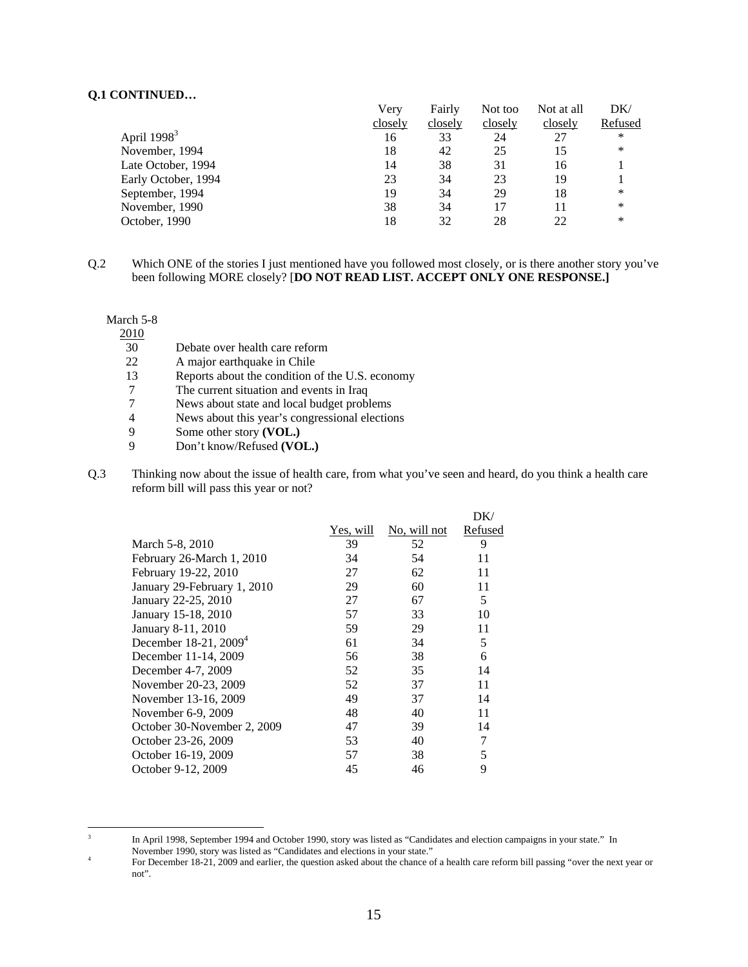|                     | Verv    | Fairly  | Not too | Not at all | DK/     |
|---------------------|---------|---------|---------|------------|---------|
|                     | closely | closely | closely | closely    | Refused |
| April $19983$       | 16      | 33      | 24      | 27         | ∗       |
| November, 1994      | 18      | 42      | 25      | 15         | ∗       |
| Late October, 1994  | 14      | 38      | 31      | 16         |         |
| Early October, 1994 | 23      | 34      | 23      | 19         |         |
| September, 1994     | 19      | 34      | 29      | 18         | ∗       |
| November, 1990      | 38      | 34      | 17      |            | ∗       |
| October, 1990       | 18      | 32      | 28      | 22         | ∗       |

Q.2 Which ONE of the stories I just mentioned have you followed most closely, or is there another story you've been following MORE closely? [**DO NOT READ LIST. ACCEPT ONLY ONE RESPONSE.]** 

#### March 5-8

 $\frac{2010}{30}$ 

- Debate over health care reform
- 22 A major earthquake in Chile<br>13 Reports about the condition
- Reports about the condition of the U.S. economy
- 7 The current situation and events in Iraq
- 7 News about state and local budget problems
- 4 News about this year's congressional elections<br>9 Some other story (VOL.)
- Some other story **(VOL.)**
- 9 Don't know/Refused **(VOL.)**
- Q.3 Thinking now about the issue of health care, from what you've seen and heard, do you think a health care reform bill will pass this year or not?

|                             |           |              | DK/     |
|-----------------------------|-----------|--------------|---------|
|                             | Yes, will | No, will not | Refused |
| March 5-8, 2010             | 39        | 52           | 9       |
| February 26-March 1, 2010   | 34        | 54           | 11      |
| February 19-22, 2010        | 27        | 62           | 11      |
| January 29-February 1, 2010 | 29        | 60           | 11      |
| January 22-25, 2010         | 27        | 67           | 5       |
| January 15-18, 2010         | 57        | 33           | 10      |
| January 8-11, 2010          | 59        | 29           | 11      |
| December 18-21, $2009^4$    | 61        | 34           | 5       |
| December 11-14, 2009        | 56        | 38           | 6       |
| December 4-7, 2009          | 52        | 35           | 14      |
| November 20-23, 2009        | 52        | 37           | 11      |
| November 13-16, 2009        | 49        | 37           | 14      |
| November 6-9, 2009          | 48        | 40           | 11      |
| October 30-November 2, 2009 | 47        | 39           | 14      |
| October 23-26, 2009         | 53        | 40           |         |
| October 16-19, 2009         | 57        | 38           | 5       |
| October 9-12, 2009          | 45        | 46           | 9       |
|                             |           |              |         |

 3 In April 1998, September 1994 and October 1990, story was listed as "Candidates and election campaigns in your state." In November 1990, story was listed as "Candidates and elections in your state."

<sup>4</sup> For December 18-21, 2009 and earlier, the question asked about the chance of a health care reform bill passing "over the next year or not".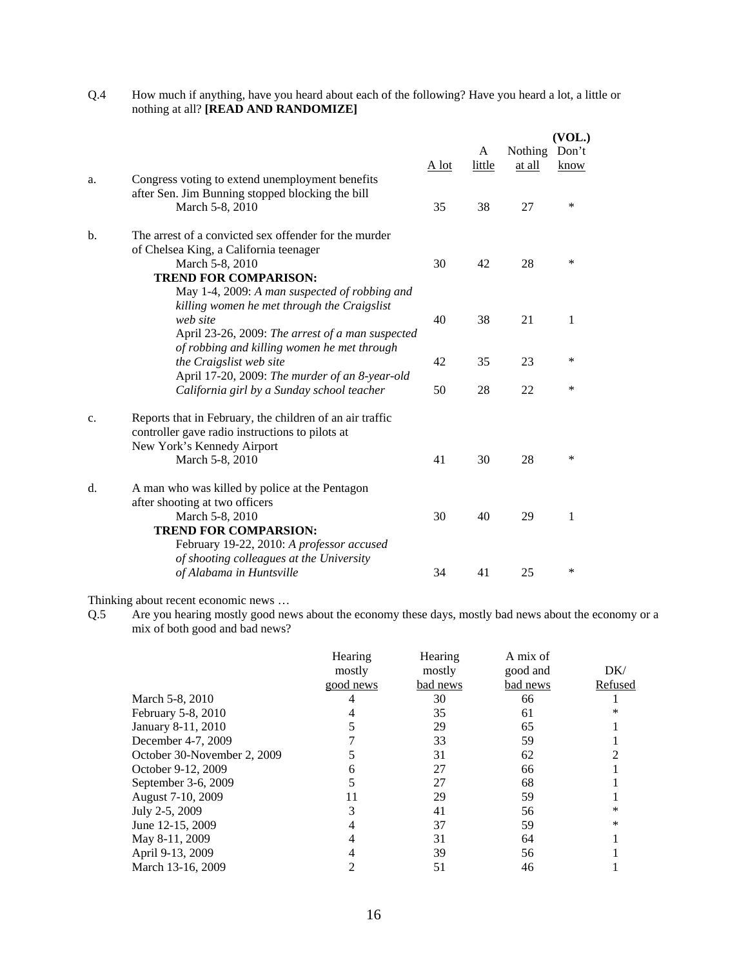| Q.4 | How much if anything, have you heard about each of the following? Have you heard a lot, a little or |
|-----|-----------------------------------------------------------------------------------------------------|
|     | nothing at all? [READ AND RANDOMIZE]                                                                |

|               |                                                                                                                                                                                                     |       |             |                   | (VOL.)        |
|---------------|-----------------------------------------------------------------------------------------------------------------------------------------------------------------------------------------------------|-------|-------------|-------------------|---------------|
|               |                                                                                                                                                                                                     | A lot | A<br>little | Nothing<br>at all | Don't<br>know |
| a.            | Congress voting to extend unemployment benefits<br>after Sen. Jim Bunning stopped blocking the bill<br>March 5-8, 2010                                                                              | 35    | 38          | 27                | $\ast$        |
| $\mathbf b$ . | The arrest of a convicted sex offender for the murder<br>of Chelsea King, a California teenager<br>March 5-8, 2010<br><b>TREND FOR COMPARISON:</b><br>May 1-4, 2009: A man suspected of robbing and | 30    | 42          | 28                | *             |
|               | killing women he met through the Craigslist<br>web site<br>April 23-26, 2009: The arrest of a man suspected                                                                                         | 40    | 38          | 21                | 1             |
|               | of robbing and killing women he met through<br>the Craigslist web site<br>April 17-20, 2009: The murder of an 8-year-old                                                                            | 42    | 35          | 23                | *             |
|               | California girl by a Sunday school teacher                                                                                                                                                          | 50    | 28          | 22                | *             |
| c.            | Reports that in February, the children of an air traffic<br>controller gave radio instructions to pilots at<br>New York's Kennedy Airport<br>March 5-8, 2010                                        | 41    | 30          | 28                | *             |
| $d_{\cdot}$   | A man who was killed by police at the Pentagon<br>after shooting at two officers<br>March 5-8, 2010<br><b>TREND FOR COMPARSION:</b><br>February 19-22, 2010: A professor accused                    | 30    | 40          | 29                | 1             |
|               | of shooting colleagues at the University<br>of Alabama in Huntsville                                                                                                                                | 34    | 41          | 25                | $\ast$        |

Thinking about recent economic news …

Q.5 Are you hearing mostly good news about the economy these days, mostly bad news about the economy or a mix of both good and bad news?

|                             | Hearing<br>mostly<br>good news | Hearing<br>mostly<br>bad news | A mix of<br>good and<br>bad news | DK/<br>Refused |
|-----------------------------|--------------------------------|-------------------------------|----------------------------------|----------------|
| March 5-8, 2010             |                                | 30                            | 66                               |                |
| February 5-8, 2010          |                                | 35                            | 61                               |                |
| January 8-11, 2010          |                                | 29                            | 65                               |                |
| December 4-7, 2009          |                                | 33                            | 59                               |                |
| October 30-November 2, 2009 |                                | 31                            | 62                               |                |
| October 9-12, 2009          |                                | 27                            | 66                               |                |
| September 3-6, 2009         |                                | 27                            | 68                               |                |
| August 7-10, 2009           |                                | 29                            | 59                               |                |
| July 2-5, 2009              |                                | 41                            | 56                               | ∗              |
| June 12-15, 2009            |                                | 37                            | 59                               | $\ast$         |
| May 8-11, 2009              |                                | 31                            | 64                               |                |
| April 9-13, 2009            |                                | 39                            | 56                               |                |
| March 13-16, 2009           |                                | 51                            | 46                               |                |